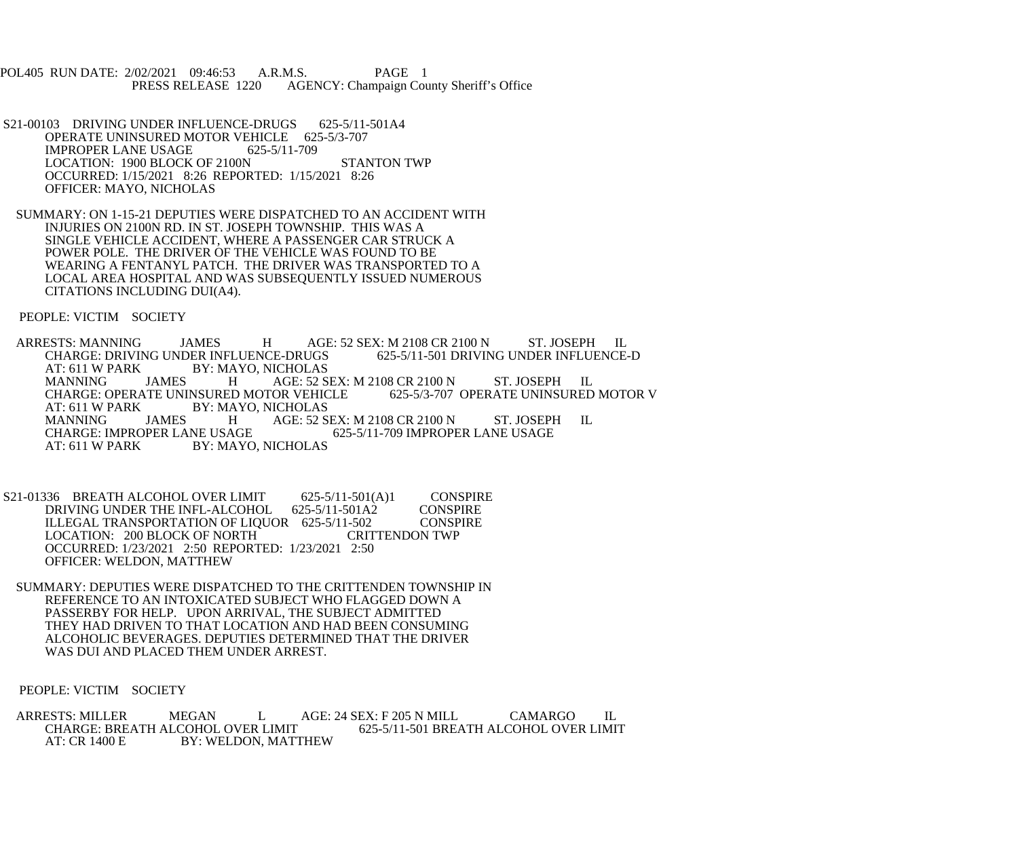POL405 RUN DATE: 2/02/2021 09:46:53 A.R.M.S. PAGE 1<br>PRESS RELEASE 1220 AGENCY: Champaign Cou AGENCY: Champaign County Sheriff's Office

- S21-00103 DRIVING UNDER INFLUENCE-DRUGS 625-5/11-501A4 OPERATE UNINSURED MOTOR VEHICLE 625-5/3-707 IMPROPER LANE USAGE 625-5/11-709 LOCATION: 1900 BLOCK OF 2100N STANTON TWP OCCURRED: 1/15/2021 8:26 REPORTED: 1/15/2021 8:26 OFFICER: MAYO, NICHOLAS
- SUMMARY: ON 1-15-21 DEPUTIES WERE DISPATCHED TO AN ACCIDENT WITH INJURIES ON 2100N RD. IN ST. JOSEPH TOWNSHIP. THIS WAS A SINGLE VEHICLE ACCIDENT, WHERE A PASSENGER CAR STRUCK A POWER POLE. THE DRIVER OF THE VEHICLE WAS FOUND TO BE WEARING A FENTANYL PATCH. THE DRIVER WAS TRANSPORTED TO A LOCAL AREA HOSPITAL AND WAS SUBSEQUENTLY ISSUED NUMEROUS CITATIONS INCLUDING DUI(A4).

PEOPLE: VICTIM SOCIETY

ARRESTS: MANNING JAMES H AGE: 52 SEX: M 2108 CR 2100 N ST. JOSEPH IL<br>CHARGE: DRIVING UNDER INFLUENCE-DRUGS 625-5/11-501 DRIVING UNDER INFLUENCE-D CHARGE: DRIVING UNDER INFLUENCE-DRUGS AT: 611 W PARK BY: MAYO, NICHOLAS<br>MANNING JAMES H AGE: 52 S MANNING JAMES H AGE: 52 SEX: M 2108 CR 2100 N ST. JOSEPH IL<br>CHARGE: OPERATE UNINSURED MOTOR VEHICLE 625-5/3-707 OPERATE UNINSURED MOTOR V CHARGE: OPERATE UNINSURED MOTOR VEHICLE<br>AT: 611 W PARK BY: MAYO, NICHOLAS AT: 611 W PARK BY: MAYO, NICHOLAS<br>MANNING JAMES H AGE: 52 S AGE: 52 SEX: M 2108 CR 2100 N ST. JOSEPH IL<br>625-5/11-709 IMPROPER LANE USAGE CHARGE: IMPROPER LANE USAGE<br>AT: 611 W PARK BY: MAYO BY: MAYO, NICHOLAS

S21-01336 BREATH ALCOHOL OVER LIMIT 625-5/11-501(A)1 CONSPIRE<br>DRIVING UNDER THE INFL-ALCOHOL 625-5/11-501A2 CONSPIRE DRIVING UNDER THE INFL-ALCOHOL 625-5/11-501A2 ILLEGAL TRANSPORTATION OF LIQUOR 625-5/11-502 CONSPIRE<br>LOCATION: 200 BLOCK OF NORTH CRITTENDON TWP LOCATION: 200 BLOCK OF NORTH OCCURRED: 1/23/2021 2:50 REPORTED: 1/23/2021 2:50 OFFICER: WELDON, MATTHEW

 SUMMARY: DEPUTIES WERE DISPATCHED TO THE CRITTENDEN TOWNSHIP IN REFERENCE TO AN INTOXICATED SUBJECT WHO FLAGGED DOWN A PASSERBY FOR HELP. UPON ARRIVAL, THE SUBJECT ADMITTED THEY HAD DRIVEN TO THAT LOCATION AND HAD BEEN CONSUMING ALCOHOLIC BEVERAGES. DEPUTIES DETERMINED THAT THE DRIVER WAS DUI AND PLACED THEM UNDER ARREST.

PEOPLE: VICTIM SOCIETY

ARRESTS: MILLER MEGAN L AGE: 24 SEX: F 205 N MILL CAMARGO IL CHARGE: BREATH ALCOHOL OVER LIMIT 625-5/11-501 BREATH ALCOHOL OVER LIMIT CHARGE: BREATH ALCOHOL OVER LIMIT 625-5/11-501 BREATH ALCOHOL OVER LIMIT AT: CR 1400 E BY: WELDON, MATTHEW BY: WELDON, MATTHEW